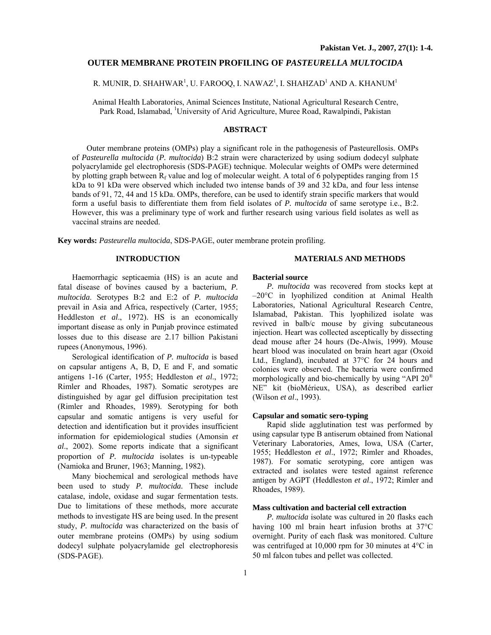# **OUTER MEMBRANE PROTEIN PROFILING OF** *PASTEURELLA MULTOCIDA*

# R. MUNIR, D. SHAHWAR<sup>1</sup>, U. FAROOQ, I. NAWAZ<sup>1</sup>, I. SHAHZAD<sup>1</sup> AND A. KHANUM<sup>1</sup>

Animal Health Laboratories, Animal Sciences Institute, National Agricultural Research Centre, Park Road, Islamabad, <sup>1</sup>University of Arid Agriculture, Muree Road, Rawalpindi, Pakistan

# **ABSTRACT**

Outer membrane proteins (OMPs) play a significant role in the pathogenesis of Pasteurellosis. OMPs of *Pasteurella multocida* (*P. multocida*) B:2 strain were characterized by using sodium dodecyl sulphate polyacrylamide gel electrophoresis (SDS-PAGE) technique. Molecular weights of OMPs were determined by plotting graph between  $R_f$  value and log of molecular weight. A total of 6 polypeptides ranging from 15 kDa to 91 kDa were observed which included two intense bands of 39 and 32 kDa, and four less intense bands of 91, 72, 44 and 15 kDa. OMPs, therefore, can be used to identify strain specific markers that would form a useful basis to differentiate them from field isolates of *P. multocida* of same serotype i.e., B:2. However, this was a preliminary type of work and further research using various field isolates as well as vaccinal strains are needed.

**Key words:** *Pasteurella multocida*, SDS-PAGE, outer membrane protein profiling.

## **INTRODUCTION**

#### **MATERIALS AND METHODS**

Haemorrhagic septicaemia (HS) is an acute and fatal disease of bovines caused by a bacterium, *P. multocida*. Serotypes B:2 and E:2 of *P. multocida* prevail in Asia and Africa, respectively (Carter, 1955; Heddleston *et al*., 1972). HS is an economically important disease as only in Punjab province estimated losses due to this disease are 2.17 billion Pakistani rupees (Anonymous, 1996).

Serological identification of *P. multocida* is based on capsular antigens A, B, D, E and F, and somatic antigens 1-16 (Carter, 1955; Heddleston *et al*., 1972; Rimler and Rhoades, 1987). Somatic serotypes are distinguished by agar gel diffusion precipitation test (Rimler and Rhoades, 1989). Serotyping for both capsular and somatic antigens is very useful for detection and identification but it provides insufficient information for epidemiological studies (Amonsin *et al*., 2002). Some reports indicate that a significant proportion of *P. multocida* isolates is un-typeable (Namioka and Bruner, 1963; Manning, 1982).

 Many biochemical and serological methods have been used to study *P. multocida.* These include catalase, indole, oxidase and sugar fermentation tests. Due to limitations of these methods, more accurate methods to investigate HS are being used. In the present study, *P. multocida* was characterized on the basis of outer membrane proteins (OMPs) by using sodium dodecyl sulphate polyacrylamide gel electrophoresis (SDS-PAGE).

# **Bacterial source**

*P. multocida* was recovered from stocks kept at –20°C in lyophilized condition at Animal Health Laboratories, National Agricultural Research Centre, Islamabad, Pakistan. This lyophilized isolate was revived in balb/c mouse by giving subcutaneous injection. Heart was collected asceptically by dissecting dead mouse after 24 hours (De-Alwis, 1999). Mouse heart blood was inoculated on brain heart agar (Oxoid Ltd., England), incubated at 37°C for 24 hours and colonies were observed. The bacteria were confirmed morphologically and bio-chemically by using "API 20® NE" kit (bioMérieux, USA), as described earlier (Wilson *et al*., 1993).

## **Capsular and somatic sero-typing**

Rapid slide agglutination test was performed by using capsular type B antiserum obtained from National Veterinary Laboratories, Ames, Iowa, USA (Carter, 1955; Heddleston *et al*., 1972; Rimler and Rhoades, 1987). For somatic serotyping, core antigen was extracted and isolates were tested against reference antigen by AGPT (Heddleston *et al*., 1972; Rimler and Rhoades, 1989).

#### **Mass cultivation and bacterial cell extraction**

*P. multocida* isolate was cultured in 20 flasks each having 100 ml brain heart infusion broths at 37°C overnight. Purity of each flask was monitored. Culture was centrifuged at 10,000 rpm for 30 minutes at 4°C in 50 ml falcon tubes and pellet was collected.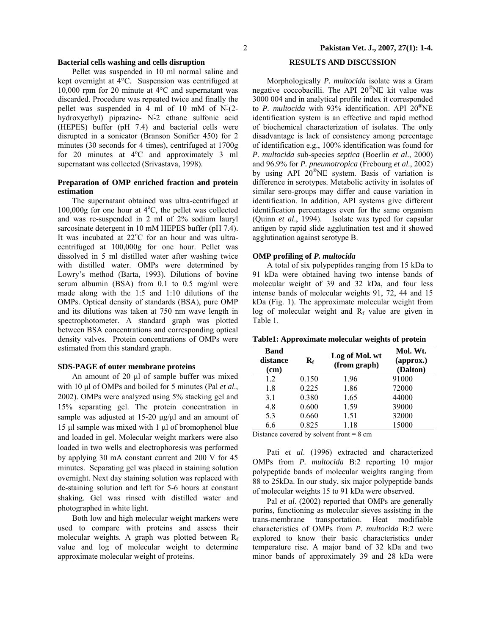# **Bacterial cells washing and cells disruption**

Pellet was suspended in 10 ml normal saline and kept overnight at 4°C. Suspension was centrifuged at 10,000 rpm for 20 minute at 4°C and supernatant was discarded. Procedure was repeated twice and finally the pellet was suspended in 4 ml of 10 mM of Nَ-(2 hydroxyethyl) piprazine- N-2 ethane sulfonic acid (HEPES) buffer (pH 7.4) and bacterial cells were disrupted in a sonicator (Branson Sonifier 450) for 2 minutes (30 seconds for 4 times), centrifuged at 1700g for 20 minutes at  $4^{\circ}$ C and approximately 3 ml supernatant was collected (Srivastava, 1998).

# **Preparation of OMP enriched fraction and protein estimation**

The supernatant obtained was ultra-centrifuged at 100,000g for one hour at  $4^{\circ}$ C, the pellet was collected and was re-suspended in 2 ml of 2% sodium lauryl sarcosinate detergent in 10 mM HEPES buffer (pH 7.4). It was incubated at 22°C for an hour and was ultracentrifuged at 100,000g for one hour. Pellet was dissolved in 5 ml distilled water after washing twice with distilled water. OMPs were determined by Lowry's method (Barta, 1993). Dilutions of bovine serum albumin (BSA) from 0.1 to 0.5 mg/ml were made along with the 1:5 and 1:10 dilutions of the OMPs. Optical density of standards (BSA), pure OMP and its dilutions was taken at 750 nm wave length in spectrophotometer. A standard graph was plotted between BSA concentrations and corresponding optical density valves. Protein concentrations of OMPs were estimated from this standard graph.

# **SDS-PAGE of outer membrane proteins**

An amount of 20 µl of sample buffer was mixed with 10 µl of OMPs and boiled for 5 minutes (Pal *et al.*, 2002). OMPs were analyzed using 5% stacking gel and 15% separating gel. The protein concentration in sample was adjusted at  $15-20 \mu g/\mu l$  and an amount of 15 µl sample was mixed with 1 µl of bromophenol blue and loaded in gel. Molecular weight markers were also loaded in two wells and electrophoresis was performed by applying 30 mA constant current and 200 V for 45 minutes. Separating gel was placed in staining solution overnight. Next day staining solution was replaced with de-staining solution and left for 5-6 hours at constant shaking. Gel was rinsed with distilled water and photographed in white light.

Both low and high molecular weight markers were used to compare with proteins and assess their molecular weights. A graph was plotted between  $R_f$ value and log of molecular weight to determine approximate molecular weight of proteins.

# **RESULTS AND DISCUSSION**

Morphologically *P. multocida* isolate was a Gram negative coccobacilli. The API 20®NE kit value was 3000 004 and in analytical profile index it corresponded to *P. multocida* with 93% identification. API 20®NE identification system is an effective and rapid method of biochemical characterization of isolates. The only disadvantage is lack of consistency among percentage of identification e.g., 100% identification was found for *P. multocida* sub-species *septica* (Boerlin *et al*., 2000) and 96.9% for *P. pneumotropica* (Frebourg *et al*., 2002) by using API 20®NE system. Basis of variation is difference in serotypes. Metabolic activity in isolates of similar sero-groups may differ and cause variation in identification. In addition, API systems give different identification percentages even for the same organism (Quinn *et al*., 1994). Isolate was typed for capsular antigen by rapid slide agglutination test and it showed agglutination against serotype B.

### **OMP profiling of** *P. multocida*

A total of six polypeptides ranging from 15 kDa to 91 kDa were obtained having two intense bands of molecular weight of 39 and 32 kDa, and four less intense bands of molecular weights 91, 72, 44 and 15 kDa (Fig. 1). The approximate molecular weight from log of molecular weight and  $R_f$  value are given in Table 1.

| Table1: Approximate molecular weights of protein |  |  |
|--------------------------------------------------|--|--|
|                                                  |  |  |

| <b>Band</b><br>distance<br>(cm) | $\mathbf{R}_{\mathrm{f}}$ | Log of Mol. wt<br>(from graph) | Mol. Wt.<br>$\left($ approx. $\right)$<br>(Dalton) |  |  |
|---------------------------------|---------------------------|--------------------------------|----------------------------------------------------|--|--|
| 1.2                             | 0.150                     | 1.96                           | 91000                                              |  |  |
| 1.8                             | 0.225                     | 1.86                           | 72000                                              |  |  |
| 3.1                             | 0.380                     | 1.65                           | 44000                                              |  |  |
| 4.8                             | 0.600                     | 1.59                           | 39000                                              |  |  |
| 5.3                             | 0.660                     | 1.51                           | 32000                                              |  |  |
| 6.6                             | 0.825                     | 1.18                           | 15000                                              |  |  |
| 11 $1$ $1$<br><b>DOM:</b>       |                           |                                |                                                    |  |  |

Distance covered by solvent front  $= 8 \text{ cm}$ 

Pati *et al.* (1996) extracted and characterized OMPs from *P. multocida* B:2 reporting 10 major polypeptide bands of molecular weights ranging from 88 to 25kDa. In our study, six major polypeptide bands of molecular weights 15 to 91 kDa were observed.

Pal *et al.* (2002) reported that OMPs are generally porins, functioning as molecular sieves assisting in the trans-membrane transportation. Heat modifiable characteristics of OMPs from *P. multocida* B:2 were explored to know their basic characteristics under temperature rise. A major band of 32 kDa and two minor bands of approximately 39 and 28 kDa were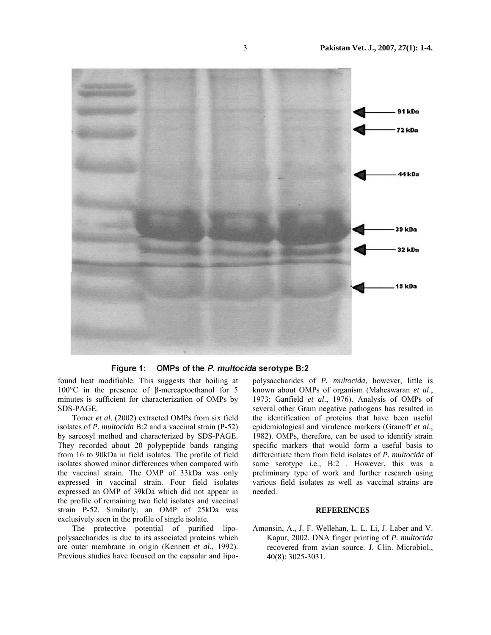



found heat modifiable. This suggests that boiling at 100°C in the presence of β-mercaptoethanol for 5 minutes is sufficient for characterization of OMPs by SDS-PAGE.

Tomer *et al*. (2002) extracted OMPs from six field isolates of *P. multocida* B:2 and a vaccinal strain (P-52) by sarcosyl method and characterized by SDS-PAGE. They recorded about 20 polypeptide bands ranging from 16 to 90kDa in field isolates. The profile of field isolates showed minor differences when compared with the vaccinal strain. The OMP of 33kDa was only expressed in vaccinal strain. Four field isolates expressed an OMP of 39kDa which did not appear in the profile of remaining two field isolates and vaccinal strain P-52. Similarly, an OMP of 25kDa was exclusively seen in the profile of single isolate.

The protective potential of purified lipopolysaccharides is due to its associated proteins which are outer membrane in origin (Kennett *et al*., 1992). Previous studies have focused on the capsular and lipopolysaccharides of *P. multocida*, however, little is known about OMPs of organism (Maheswaran *et al*., 1973; Ganfield *et al*., 1976). Analysis of OMPs of several other Gram negative pathogens has resulted in the identification of proteins that have been useful epidemiological and virulence markers (Granoff *et al*., 1982). OMPs, therefore, can be used to identify strain specific markers that would form a useful basis to differentiate them from field isolates of *P. multocida* of same serotype i.e., B:2 . However, this was a preliminary type of work and further research using various field isolates as well as vaccinal strains are needed.

#### **REFERENCES**

Amonsin, A., J. F. Wellehan, L. L. Li, J. Laber and V. Kapur, 2002. DNA finger printing of *P. multocida* recovered from avian source. J. Clin. Microbiol., 40(8): 3025-3031.